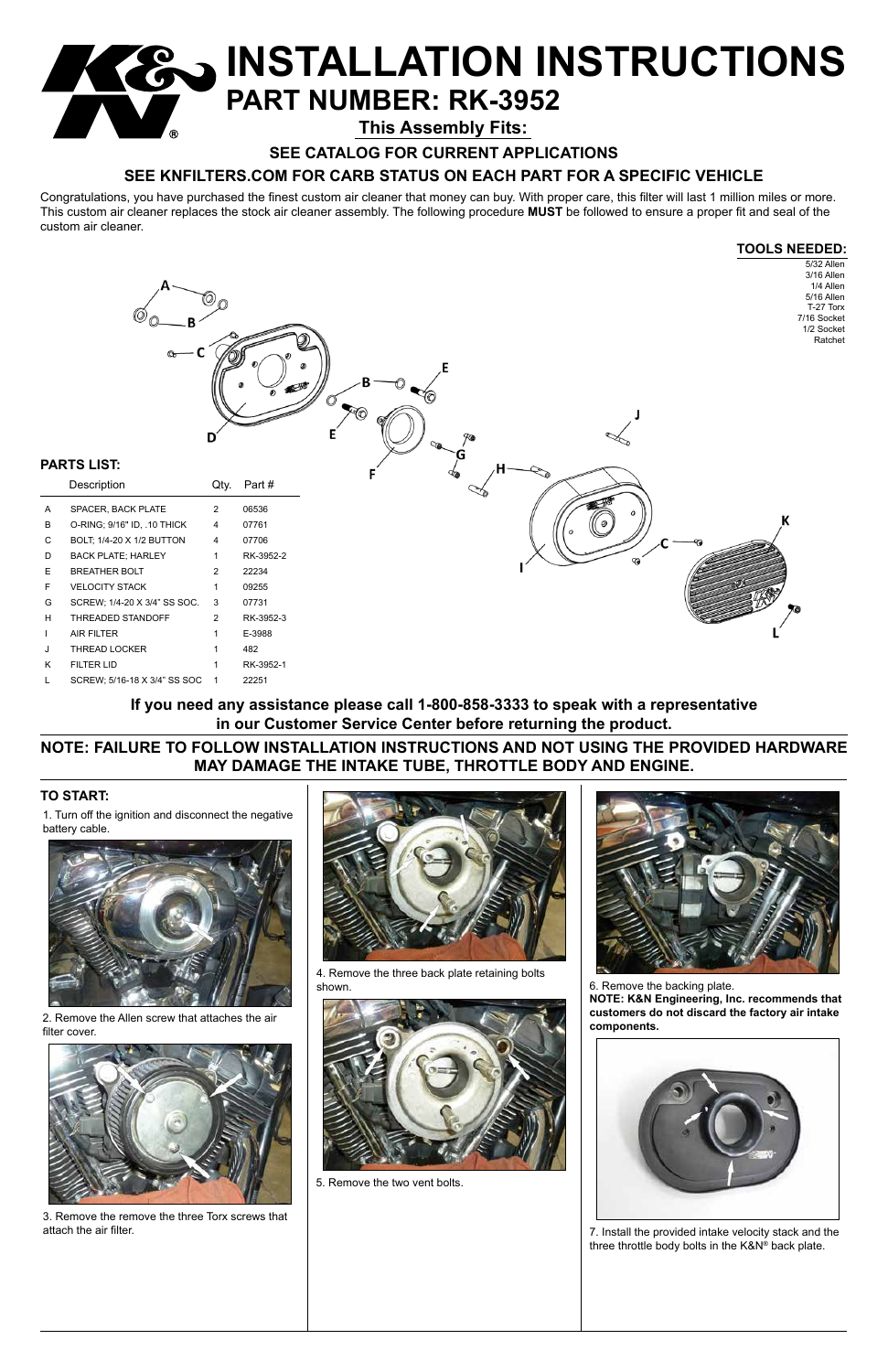# **INSTALLATION INSTRUCTIONS PART NUMBER: RK-3952**

Congratulations, you have purchased the finest custom air cleaner that money can buy. With proper care, this filter will last 1 million miles or more. This custom air cleaner replaces the stock air cleaner assembly. The following procedure **MUST** be followed to ensure a proper fit and seal of the custom air cleaner.

### **TO START:**



**SEE CATALOG FOR CURRENT APPLICATIONS**

### **SEE KNFILTERS.COM FOR CARB STATUS ON EACH PART FOR A SPECIFIC VEHICLE**

**This Assembly Fits:**

1. Turn off the ignition and disconnect the negative battery cable.



**NOTE: FAILURE TO FOLLOW INSTALLATION INSTRUCTIONS AND NOT USING THE PROVIDED HARDWARE MAY DAMAGE THE INTAKE TUBE, THROTTLE BODY AND ENGINE.**

**If you need any assistance please call 1-800-858-3333 to speak with a representative in our Customer Service Center before returning the product.**

2. Remove the Allen screw that attaches the air filter cover.



3. Remove the remove the three Torx screws that attach the air filter.





4. Remove the three back plate retaining bolts shown.

5. Remove the two vent bolts.



6. Remove the backing plate. **NOTE: K&N Engineering, Inc. recommends that** 

**customers do not discard the factory air intake components.**



7. Install the provided intake velocity stack and the three throttle body bolts in the K&N® back plate.